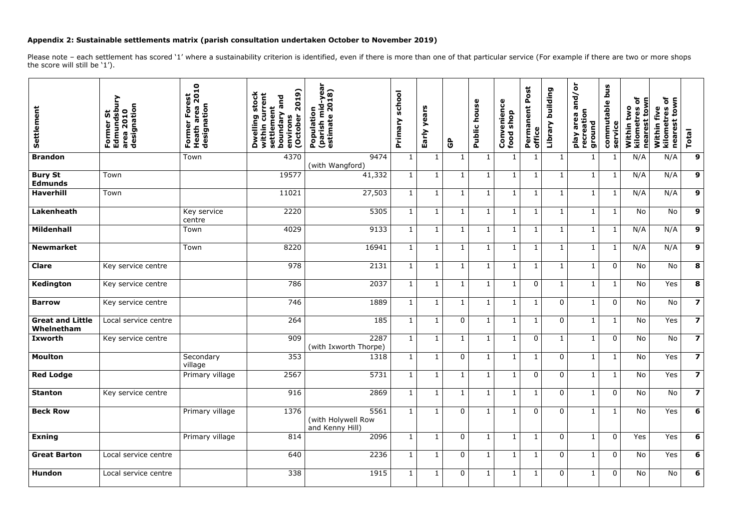## **Appendix 2: Sustainable settlements matrix (parish consultation undertaken October to November 2019)**

Please note - each settlement has scored '1' where a sustainability criterion is identified, even if there is more than one of that particular service (For example if there are two or more shops the score will still be '1').

| Settlement                            | signatio<br>dsb<br>$\overline{\mathbf{u}}$<br>5<br>Former !<br>Edmund<br>area 201<br>designat | $\mathbf{a}$<br>Forest<br>$\overline{\mathbf{S}}$<br><b>Heath area 2</b><br>designation<br>Former | (61)<br>stock<br>ent<br>and<br>20<br>ën<br>Alepunoq<br>tober<br>Dwelling<br>environs<br>£.<br>settle<br>with<br>U<br>O | -yea<br>2018)<br>(parish mid-<br>estimate 20<br>Population | school<br>Primary | years<br>Early | ၆              | house<br>Public | enience<br>shop<br>Conv<br>food | Post<br>Permanent<br>office | building<br>Library | $\overline{\sigma}$<br>and<br>eation<br>area<br>ground<br>Veld<br>recr | snq<br>commutable<br>service | ഁ<br>town<br>two<br>ä<br>Within<br>neare<br>kilom | ð<br>ş<br>five<br>$\mathbf{5}$<br>nearest<br>ō<br>Within<br>$\overline{\mathsf{e}}$<br>륯 | <b>Total</b>            |
|---------------------------------------|-----------------------------------------------------------------------------------------------|---------------------------------------------------------------------------------------------------|------------------------------------------------------------------------------------------------------------------------|------------------------------------------------------------|-------------------|----------------|----------------|-----------------|---------------------------------|-----------------------------|---------------------|------------------------------------------------------------------------|------------------------------|---------------------------------------------------|------------------------------------------------------------------------------------------|-------------------------|
| <b>Brandon</b>                        |                                                                                               | Town                                                                                              | 4370                                                                                                                   | 9474<br>(with Wangford)                                    | $\mathbf{1}$      | 1              | $\mathbf{1}$   | 1               | 1                               | 1                           | $\mathbf{1}$        | $\mathbf{1}$                                                           |                              | N/A                                               | N/A                                                                                      | 9                       |
| <b>Bury St</b><br><b>Edmunds</b>      | Town                                                                                          |                                                                                                   | 19577                                                                                                                  | 41,332                                                     | $\mathbf{1}$      | $\mathbf 1$    | $\mathbf{1}$   | $\mathbf 1$     | $\mathbf{1}$                    | $\mathbf{1}$                | $\mathbf{1}$        | $\mathbf{1}$                                                           | $\mathbf 1$                  | N/A                                               | N/A                                                                                      | 9                       |
| <b>Haverhill</b>                      | Town                                                                                          |                                                                                                   | 11021                                                                                                                  | 27,503                                                     | $\mathbf{1}$      | $\mathbf{1}$   | $\mathbf{1}$   | $\mathbf 1$     | $\mathbf{1}$                    | $\mathbf{1}$                | $\mathbf{1}$        | $\mathbf{1}$                                                           | $\mathbf{1}$                 | N/A                                               | N/A                                                                                      | $\mathbf{9}$            |
| Lakenheath                            |                                                                                               | Key service<br>centre                                                                             | 2220                                                                                                                   | 5305                                                       | $1\,$             | $\mathbf{1}$   | $\mathbf{1}$   | $\mathbf 1$     | $\mathbf{1}$                    | $\mathbf{1}$                | $\mathbf{1}$        | $\mathbf{1}$                                                           | $\mathbf 1$                  | No                                                | No                                                                                       | 9                       |
| <b>Mildenhall</b>                     |                                                                                               | Town                                                                                              | 4029                                                                                                                   | 9133                                                       | $\mathbf{1}$      |                | $\mathbf{1}$   | 1               | 1                               | $\mathbf{1}$                | $\mathbf{1}$        | $\mathbf{1}$                                                           | 1                            | N/A                                               | N/A                                                                                      | 9                       |
| <b>Newmarket</b>                      |                                                                                               | Town                                                                                              | 8220                                                                                                                   | 16941                                                      | $\mathbf{1}$      | $\mathbf 1$    | $\mathbf{1}$   | $\mathbf 1$     | $\mathbf{1}$                    | $\mathbf{1}$                | $\mathbf{1}$        | $\mathbf{1}$                                                           | $\mathbf 1$                  | N/A                                               | N/A                                                                                      | 9                       |
| <b>Clare</b>                          | Key service centre                                                                            |                                                                                                   | 978                                                                                                                    | 2131                                                       | $1\,$             | $\mathbf{1}$   | $\mathbf{1}$   | 1               | $\mathbf 1$                     | $\mathbf{1}$                | $\mathbf{1}$        | $\mathbf{1}$                                                           | $\overline{0}$               | No                                                | No                                                                                       | 8                       |
| Kedington                             | Key service centre                                                                            |                                                                                                   | 786                                                                                                                    | 2037                                                       | $1\,$             | $\mathbf 1$    | $\mathbf{1}$   | 1               | $\mathbf{1}$                    | $\mathbf 0$                 | $\mathbf{1}$        | $\mathbf{1}$                                                           | $\mathbf{1}$                 | No                                                | Yes                                                                                      | 8                       |
| <b>Barrow</b>                         | Key service centre                                                                            |                                                                                                   | 746                                                                                                                    | 1889                                                       | $\mathbf{1}$      | $\mathbf{1}$   | $\mathbf{1}$   | 1               | $\mathbf{1}$                    | $\mathbf{1}$                | $\mathbf 0$         | $\mathbf{1}$                                                           | $\mathbf 0$                  | No                                                | No                                                                                       | $\overline{z}$          |
| <b>Great and Little</b><br>Whelnetham | Local service centre                                                                          |                                                                                                   | 264                                                                                                                    | 185                                                        | $\mathbf{1}$      | $\mathbf 1$    | $\overline{0}$ | 1               | $\mathbf 1$                     | $\mathbf{1}$                | $\mathbf 0$         | $\mathbf{1}$                                                           | 1                            | No                                                | Yes                                                                                      | $\overline{\mathbf{z}}$ |
| <b>Ixworth</b>                        | Key service centre                                                                            |                                                                                                   | 909                                                                                                                    | 2287<br>(with Ixworth Thorpe)                              | $1\,$             | $\mathbf{1}$   | $\mathbf{1}$   | 1               | 1                               | $\mathbf 0$                 | $\mathbf{1}$        | $\mathbf{1}$                                                           | $\overline{0}$               | No                                                | No                                                                                       | $\overline{\mathbf{z}}$ |
| <b>Moulton</b>                        |                                                                                               | Secondary<br>village                                                                              | 353                                                                                                                    | 1318                                                       | $\mathbf{1}$      |                | $\overline{0}$ | 1               | $\mathbf{1}$                    | $\mathbf{1}$                | $\mathbf 0$         | $\mathbf{1}$                                                           | 1                            | No                                                | Yes                                                                                      | $\overline{\mathbf{z}}$ |
| <b>Red Lodge</b>                      |                                                                                               | Primary village                                                                                   | 2567                                                                                                                   | 5731                                                       | $\mathbf{1}$      | $\mathbf{1}$   | $\mathbf{1}$   | $\mathbf{1}$    | $\mathbf{1}$                    | $\overline{0}$              | $\mathbf 0$         | $\mathbf{1}$                                                           | $\mathbf{1}$                 | No                                                | Yes                                                                                      | $\overline{\mathbf{z}}$ |
| <b>Stanton</b>                        | Key service centre                                                                            |                                                                                                   | 916                                                                                                                    | 2869                                                       | $\mathbf{1}$      | $\mathbf{1}$   | $\mathbf{1}$   | $\mathbf{1}$    | $\mathbf{1}$                    | $\mathbf{1}$                | $\overline{0}$      | $\mathbf{1}$                                                           | $\overline{0}$               | <b>No</b>                                         | No                                                                                       | $\overline{\mathbf{z}}$ |
| <b>Beck Row</b>                       |                                                                                               | Primary village                                                                                   | 1376                                                                                                                   | 5561<br>(with Holywell Row<br>and Kenny Hill)              | $\mathbf{1}$      |                | $\overline{0}$ |                 | $\mathbf{1}$                    | $\mathbf 0$                 | $\mathbf 0$         | $\mathbf{1}$                                                           | 1                            | No                                                | Yes                                                                                      | 6                       |
| <b>Exning</b>                         |                                                                                               | Primary village                                                                                   | 814                                                                                                                    | 2096                                                       | $\mathbf{1}$      | $\mathbf{1}$   | $\overline{0}$ | $\mathbf 1$     | $\mathbf{1}$                    | $\mathbf{1}$                | $\mathbf 0$         | $\mathbf{1}$                                                           | $\mathbf 0$                  | Yes                                               | Yes                                                                                      | $6\phantom{1}$          |
| <b>Great Barton</b>                   | Local service centre                                                                          |                                                                                                   | 640                                                                                                                    | 2236                                                       | $\mathbf{1}$      | $\mathbf{1}$   | $\overline{0}$ | 1               | $\mathbf{1}$                    | $\mathbf{1}$                | $\overline{0}$      | $\mathbf{1}$                                                           | $\overline{0}$               | No                                                | Yes                                                                                      | $6\phantom{1}$          |
| <b>Hundon</b>                         | Local service centre                                                                          |                                                                                                   | 338                                                                                                                    | 1915                                                       | $\mathbf{1}$      | $\mathbf{1}$   | $\mathbf 0$    | 1               | $\mathbf{1}$                    | $\mathbf{1}$                | $\mathbf 0$         | $\mathbf{1}$                                                           | $\mathbf 0$                  | No                                                | No                                                                                       | 6                       |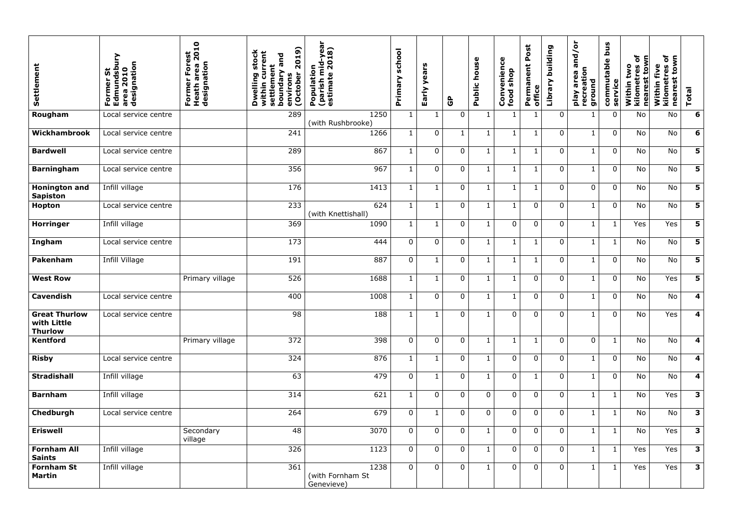| Settlement                                            | Edmundsbur<br>area 2010<br>designation<br>ູ້ທ<br>O<br>ட் | 2010<br>Forest<br><b>Heath area</b><br>designation<br>Former | 2019)<br>stock<br>tie<br>and<br>settlement<br>boundary<br>Dwelling<br>October<br>environs<br>within | (parish mid-year<br>estimate 2018)<br>Population | school<br>Primary | years<br>Early | $\mathbf{\hat{G}}$ | house<br>Public | Convenience<br>shop<br>food | ost<br>Ď.<br>Permanent I<br>office | building<br>Library | $\overline{\sigma}$<br>╲<br>$\overline{\mathbf{C}}$<br>c<br><b>G</b><br>ation<br>area<br>ground<br>Veld<br>recr | bus<br>commutable<br>service | ð<br>town<br>two<br>Ö<br>neares<br>Within<br>kilome | ិ<br>ξ<br>Within five<br>kilometres<br>$\mathbf{5}$<br>nearest | <b>Total</b>            |
|-------------------------------------------------------|----------------------------------------------------------|--------------------------------------------------------------|-----------------------------------------------------------------------------------------------------|--------------------------------------------------|-------------------|----------------|--------------------|-----------------|-----------------------------|------------------------------------|---------------------|-----------------------------------------------------------------------------------------------------------------|------------------------------|-----------------------------------------------------|----------------------------------------------------------------|-------------------------|
| Rougham                                               | Local service centre                                     |                                                              | 289                                                                                                 | 1250<br>(with Rushbrooke)                        | $\mathbf{1}$      | 1              | 0                  |                 |                             |                                    | $\mathbf 0$         | $\mathbf 1$                                                                                                     | $\mathbf 0$                  | No                                                  | No                                                             | 6                       |
| Wickhambrook                                          | Local service centre                                     |                                                              | 241                                                                                                 | 1266                                             |                   | $\mathbf 0$    |                    |                 | $\mathbf{1}$                |                                    | $\mathbf 0$         | $\mathbf{1}$                                                                                                    | $\overline{0}$               | No                                                  | No                                                             | 6                       |
| <b>Bardwell</b>                                       | Local service centre                                     |                                                              | 289                                                                                                 | 867                                              | $\mathbf{1}$      | $\mathbf 0$    | $\overline{0}$     | $\mathbf{1}$    | $\mathbf{1}$                | $\mathbf{1}$                       | $\mathbf 0$         | $\mathbf{1}$                                                                                                    | $\overline{0}$               | <b>No</b>                                           | <b>No</b>                                                      | 5                       |
| <b>Barningham</b>                                     | Local service centre                                     |                                                              | 356                                                                                                 | 967                                              | $\mathbf{1}$      | $\mathbf 0$    | $\mathbf 0$        | $\mathbf{1}$    | $\mathbf{1}$                | $\mathbf{1}$                       | $\mathbf 0$         | $\mathbf{1}$                                                                                                    | $\overline{0}$               | No                                                  | No                                                             | 5                       |
| <b>Honington and</b><br><b>Sapiston</b>               | Infill village                                           |                                                              | 176                                                                                                 | 1413                                             | $\mathbf{1}$      | $\mathbf{1}$   | $\overline{0}$     | $\mathbf{1}$    | $\mathbf{1}$                | $\mathbf{1}$                       | $\overline{0}$      | $\mathbf 0$                                                                                                     | $\overline{0}$               | No                                                  | <b>No</b>                                                      | 5                       |
| <b>Hopton</b>                                         | Local service centre                                     |                                                              | 233                                                                                                 | 624<br>(with Knettishall)                        | $\mathbf{1}$      | $\mathbf{1}$   | $\overline{0}$     | $\mathbf{1}$    | $\mathbf{1}$                | $\mathbf 0$                        | $\overline{0}$      | $\mathbf{1}$                                                                                                    | $\overline{0}$               | No                                                  | No                                                             | 5                       |
| <b>Horringer</b>                                      | Infill village                                           |                                                              | 369                                                                                                 | 1090                                             |                   |                | $\overline{0}$     |                 | $\overline{0}$              | $\overline{0}$                     | $\mathbf 0$         | $\mathbf{1}$                                                                                                    | $\mathbf 1$                  | Yes                                                 | Yes                                                            | $5\phantom{a}$          |
| Ingham                                                | Local service centre                                     |                                                              | 173                                                                                                 | 444                                              | $\overline{0}$    | $\mathbf 0$    | $\overline{0}$     | $\mathbf{1}$    | $\mathbf{1}$                | $\mathbf{1}$                       | $\mathbf 0$         | $\mathbf{1}$                                                                                                    | $\mathbf{1}$                 | No                                                  | <b>No</b>                                                      | 5                       |
| Pakenham                                              | Infill Village                                           |                                                              | 191                                                                                                 | 887                                              | $\overline{0}$    | 1              | $\overline{0}$     | $\mathbf 1$     | $\mathbf{1}$                | $\mathbf{1}$                       | $\overline{0}$      | $\mathbf{1}$                                                                                                    | $\overline{0}$               | No                                                  | No                                                             | 5                       |
| <b>West Row</b>                                       |                                                          | Primary village                                              | 526                                                                                                 | 1688                                             | $\mathbf{1}$      | 1              | $\overline{0}$     | $\mathbf{1}$    | $\mathbf{1}$                | $\mathbf 0$                        | $\mathbf 0$         | $\mathbf{1}$                                                                                                    | $\overline{0}$               | No                                                  | Yes                                                            | 5                       |
| <b>Cavendish</b>                                      | Local service centre                                     |                                                              | 400                                                                                                 | 1008                                             | $\mathbf{1}$      | $\overline{0}$ | $\overline{0}$     | $\mathbf{1}$    | $\mathbf{1}$                | $\mathbf 0$                        | $\overline{0}$      | $\mathbf 1$                                                                                                     | $\overline{0}$               | <b>No</b>                                           | <b>No</b>                                                      | 4                       |
| <b>Great Thurlow</b><br>with Little<br><b>Thurlow</b> | Local service centre                                     |                                                              | 98                                                                                                  | 188                                              | $\mathbf{1}$      | $\mathbf{1}$   | $\Omega$           | $\mathbf{1}$    | $\Omega$                    | $\Omega$                           | $\Omega$            | $\mathbf{1}$                                                                                                    | $\overline{0}$               | No                                                  | Yes                                                            | $\overline{\mathbf{4}}$ |
| <b>Kentford</b>                                       |                                                          | Primary village                                              | 372                                                                                                 | 398                                              | $\overline{0}$    | $\mathbf 0$    | $\overline{0}$     | $\mathbf{1}$    | $\mathbf{1}$                | $\mathbf{1}$                       | $\overline{0}$      | $\overline{0}$                                                                                                  | $\mathbf{1}$                 | No                                                  | No                                                             | $\overline{\mathbf{4}}$ |
| <b>Risby</b>                                          | Local service centre                                     |                                                              | 324                                                                                                 | 876                                              | $\mathbf{1}$      | 1              | $\overline{0}$     | $\mathbf{1}$    | $\overline{0}$              | $\overline{0}$                     | $\overline{0}$      | $\mathbf{1}$                                                                                                    | $\mathbf 0$                  | No                                                  | No                                                             | $\overline{\mathbf{4}}$ |
| <b>Stradishall</b>                                    | Infill village                                           |                                                              | 63                                                                                                  | 479                                              | $\overline{0}$    |                | $\mathbf 0$        |                 | $\overline{0}$              |                                    | $\overline{0}$      | $\mathbf{1}$                                                                                                    | $\overline{0}$               | No                                                  | No                                                             | 4                       |
| <b>Barnham</b>                                        | Infill village                                           |                                                              | 314                                                                                                 | 621                                              | $\mathbf{1}$      | $\mathbf{0}$   | $\overline{0}$     | $\overline{0}$  | $\overline{0}$              | $\overline{0}$                     | $\overline{0}$      | $\mathbf{1}$                                                                                                    | $\mathbf{1}$                 | No                                                  | Yes                                                            | $\overline{\mathbf{3}}$ |
| Chedburgh                                             | Local service centre                                     |                                                              | 264                                                                                                 | 679                                              | $\overline{0}$    | $\mathbf{1}$   | $\overline{0}$     | $\overline{0}$  | $\overline{0}$              | $\mathbf 0$                        | $\overline{0}$      | $\mathbf{1}$                                                                                                    | $\mathbf{1}$                 | No                                                  | No                                                             | $\mathbf{3}$            |
| <b>Eriswell</b>                                       |                                                          | Secondary<br>village                                         | 48                                                                                                  | 3070                                             | $\overline{0}$    | $\overline{0}$ | $\mathbf 0$        |                 | $\overline{0}$              | $\overline{0}$                     | $\overline{0}$      | $\mathbf 1$                                                                                                     | $\mathbf{1}$                 | No                                                  | Yes                                                            | $\mathbf{3}$            |
| <b>Fornham All</b><br><b>Saints</b>                   | Infill village                                           |                                                              | 326                                                                                                 | 1123                                             | $\overline{0}$    | $\overline{0}$ | $\overline{0}$     |                 | $\overline{0}$              | $\mathbf 0$                        | $\overline{0}$      | $\mathbf{1}$                                                                                                    | $\mathbf{1}$                 | Yes                                                 | Yes                                                            | $\mathbf{3}$            |
| <b>Fornham St</b><br>Martin                           | Infill village                                           |                                                              | 361                                                                                                 | 1238<br>(with Fornham St<br>Genevieve)           | $\overline{0}$    | $\mathbf{0}$   | $\overline{0}$     |                 | $\overline{0}$              | $\mathbf 0$                        | $\overline{0}$      | $\mathbf{1}$                                                                                                    | $\mathbf{1}$                 | Yes                                                 | Yes                                                            | $\overline{\mathbf{3}}$ |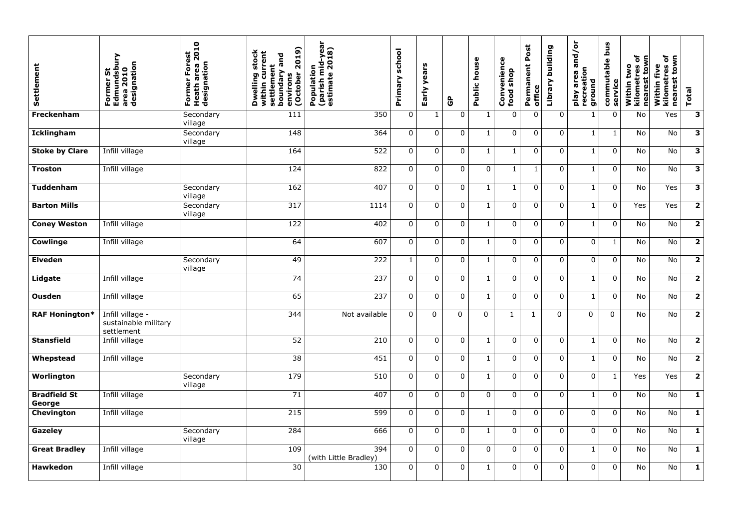| Settlement                    | Former St<br>Edmundsbur<br>area 2010<br>designation    | 2010<br>Forest<br><b>Heath area 2</b><br>designation<br>Former | 2019)<br>stock<br>rrent<br>and<br>settlement<br>boundary<br>J<br>Dwelling<br>(October<br>environs<br>within | nid-year<br>2018)<br>(parish mid-<br>estimate 20:<br>Population | school<br>Primary | years<br>Early | $\mathbf{\hat{e}}$ | house<br>Public | enience<br>shop<br>Conv<br>food | ost<br>Δ.<br>ent<br>Permane<br>office | building<br>Library | $\overline{\sigma}$<br>╰<br>and<br>eation<br>area<br>ground<br>Veld<br>recr | <b>Snq</b><br>commutable<br>Q<br>servic | Ⴆ<br>town<br>two<br>tres<br>nearest<br>kilome<br>Within | ð<br>town<br>Within five<br>kilometres<br>nearest | <b>Total</b>            |
|-------------------------------|--------------------------------------------------------|----------------------------------------------------------------|-------------------------------------------------------------------------------------------------------------|-----------------------------------------------------------------|-------------------|----------------|--------------------|-----------------|---------------------------------|---------------------------------------|---------------------|-----------------------------------------------------------------------------|-----------------------------------------|---------------------------------------------------------|---------------------------------------------------|-------------------------|
| Freckenham                    |                                                        | Secondary<br>village                                           | 111                                                                                                         | 350                                                             | $\mathbf 0$       | $\mathbf{1}$   | $\mathbf 0$        |                 | $\mathbf 0$                     | $\mathbf 0$                           | $\mathbf 0$         | 1                                                                           | $\mathbf 0$                             | No                                                      | Yes                                               | $\mathbf{3}$            |
| <b>Icklingham</b>             |                                                        | Secondary<br>village                                           | 148                                                                                                         | 364                                                             | $\overline{0}$    | $\mathbf 0$    | $\mathbf 0$        | $\mathbf 1$     | $\mathbf 0$                     | $\mathbf 0$                           | $\overline{0}$      | $\mathbf 1$                                                                 | $\mathbf{1}$                            | No                                                      | No                                                | $\mathbf{3}$            |
| <b>Stoke by Clare</b>         | Infill village                                         |                                                                | 164                                                                                                         | 522                                                             | $\overline{0}$    | $\mathbf 0$    | $\mathbf 0$        | $\mathbf{1}$    |                                 | $\mathbf 0$                           | $\mathbf 0$         | $\mathbf 1$                                                                 | $\overline{0}$                          | <b>No</b>                                               | No                                                | $\mathbf{3}$            |
| <b>Troston</b>                | Infill village                                         |                                                                | 124                                                                                                         | 822                                                             | $\overline{0}$    | $\overline{0}$ | $\mathbf 0$        | $\overline{0}$  |                                 | $\mathbf{1}$                          | $\overline{0}$      | $\mathbf{1}$                                                                | $\overline{0}$                          | No                                                      | No                                                | $\mathbf{3}$            |
| <b>Tuddenham</b>              |                                                        | Secondary<br>village                                           | 162                                                                                                         | 407                                                             | $\overline{0}$    | $\overline{0}$ | $\mathbf 0$        |                 |                                 | $\mathbf 0$                           | $\mathbf 0$         | $\mathbf 1$                                                                 | $\overline{0}$                          | No                                                      | Yes                                               | $\mathbf{3}$            |
| <b>Barton Mills</b>           |                                                        | Secondary<br>village                                           | 317                                                                                                         | 1114                                                            | $\overline{0}$    | $\overline{0}$ | $\mathbf 0$        | $\mathbf{1}$    | $\mathbf 0$                     | $\mathbf 0$                           | $\overline{0}$      | $\mathbf{1}$                                                                | $\mathbf 0$                             | Yes                                                     | Yes                                               | $\overline{\mathbf{2}}$ |
| <b>Coney Weston</b>           | Infill village                                         |                                                                | 122                                                                                                         | 402                                                             | $\overline{0}$    | $\overline{0}$ | $\overline{0}$     | $\mathbf 1$     | $\mathbf 0$                     | $\mathbf 0$                           | $\mathbf 0$         | $\mathbf{1}$                                                                | $\overline{0}$                          | No                                                      | <b>No</b>                                         | $\overline{2}$          |
| <b>Cowlinge</b>               | Infill village                                         |                                                                | 64                                                                                                          | 607                                                             | $\overline{0}$    | $\overline{0}$ | $\mathbf 0$        | 1               | $\mathbf 0$                     | $\mathbf 0$                           | $\overline{0}$      | $\mathbf 0$                                                                 | $\mathbf{1}$                            | No                                                      | No                                                | $\overline{\mathbf{2}}$ |
| <b>Elveden</b>                |                                                        | Secondary<br>village                                           | 49                                                                                                          | 222                                                             | $1\,$             | 0              | $\mathbf 0$        | $\mathbf 1$     | $\overline{0}$                  | $\mathbf 0$                           | $\mathbf 0$         | $\mathbf 0$                                                                 | $\mathbf 0$                             | No                                                      | No                                                | $\overline{\mathbf{2}}$ |
| Lidgate                       | Infill village                                         |                                                                | 74                                                                                                          | 237                                                             | $\mathbf 0$       | $\overline{0}$ | $\overline{0}$     |                 | $\overline{0}$                  | $\overline{0}$                        | $\overline{0}$      | $\mathbf{1}$                                                                | $\overline{0}$                          | <b>No</b>                                               | <b>No</b>                                         | $\overline{2}$          |
| <b>Ousden</b>                 | Infill village                                         |                                                                | 65                                                                                                          | 237                                                             | $\overline{0}$    | $\overline{0}$ | $\mathbf 0$        | $\mathbf 1$     | $\mathbf 0$                     | $\mathbf 0$                           | $\mathbf 0$         | $\mathbf{1}$                                                                | $\mathbf 0$                             | No                                                      | No                                                | $\overline{2}$          |
| <b>RAF Honington*</b>         | Infill village -<br>sustainable military<br>settlement |                                                                | 344                                                                                                         | Not available                                                   | $\overline{0}$    | $\Omega$       | $\Omega$           | $\Omega$        | $\mathbf{1}$                    | $\mathbf{1}$                          | $\Omega$            | $\Omega$                                                                    | $\overline{0}$                          | No                                                      | No                                                | $\overline{2}$          |
| <b>Stansfield</b>             | Infill village                                         |                                                                | 52                                                                                                          | 210                                                             | $\overline{0}$    | $\overline{0}$ | $\mathbf 0$        |                 | $\overline{0}$                  | $\mathbf 0$                           | $\overline{0}$      | $\mathbf{1}$                                                                | $\overline{0}$                          | No                                                      | No                                                | $\overline{2}$          |
| Whepstead                     | Infill village                                         |                                                                | $\overline{38}$                                                                                             | 451                                                             | $\overline{0}$    | $\overline{0}$ | $\overline{0}$     |                 | $\overline{0}$                  | $\overline{0}$                        | $\mathbf 0$         | $\mathbf{1}$                                                                | $\overline{0}$                          | No                                                      | No                                                | $\overline{2}$          |
| Worlington                    |                                                        | Secondary<br>village                                           | 179                                                                                                         | 510                                                             | $\overline{0}$    | $\overline{0}$ | $\overline{0}$     |                 | $\overline{0}$                  | $\overline{0}$                        | $\overline{0}$      | $\overline{0}$                                                              |                                         | Yes                                                     | Yes                                               | $\overline{2}$          |
| <b>Bradfield St</b><br>George | Infill village                                         |                                                                | 71                                                                                                          | 407                                                             | $\overline{0}$    | $\overline{0}$ | $\overline{0}$     | $\overline{0}$  | $\overline{0}$                  | $\mathbf 0$                           | $\overline{0}$      | $\mathbf{1}$                                                                | $\overline{0}$                          | No                                                      | No                                                | $\mathbf{1}$            |
| Chevington                    | Infill village                                         |                                                                | 215                                                                                                         | 599                                                             | $\overline{0}$    | $\overline{0}$ | $\overline{0}$     | $\mathbf{1}$    | $\overline{0}$                  | $\mathbf 0$                           | $\overline{0}$      | $\overline{0}$                                                              | $\overline{0}$                          | No                                                      | No                                                | $\mathbf{1}$            |
| Gazeley                       |                                                        | Secondary<br>village                                           | 284                                                                                                         | 666                                                             | $\overline{0}$    | $\overline{0}$ | $\overline{0}$     |                 | $\mathbf 0$                     | $\overline{0}$                        | $\mathbf 0$         | $\mathbf 0$                                                                 | $\mathbf 0$                             | No                                                      | No                                                | $\mathbf{1}$            |
| <b>Great Bradley</b>          | Infill village                                         |                                                                | 109                                                                                                         | 394<br>(with Little Bradley)                                    | $\overline{0}$    | $\overline{0}$ | $\overline{0}$     | $\overline{0}$  | $\overline{0}$                  | $\overline{0}$                        | $\overline{0}$      | $\mathbf{1}$                                                                | $\overline{0}$                          | <b>No</b>                                               | No                                                | $\mathbf{1}$            |
| <b>Hawkedon</b>               | Infill village                                         |                                                                | 30                                                                                                          | 130                                                             | $\overline{0}$    | $\overline{0}$ | $\overline{0}$     |                 | $\mathbf 0$                     | $\overline{0}$                        | $\overline{0}$      | $\overline{0}$                                                              | $\overline{0}$                          | No                                                      | No                                                | $\mathbf{1}$            |